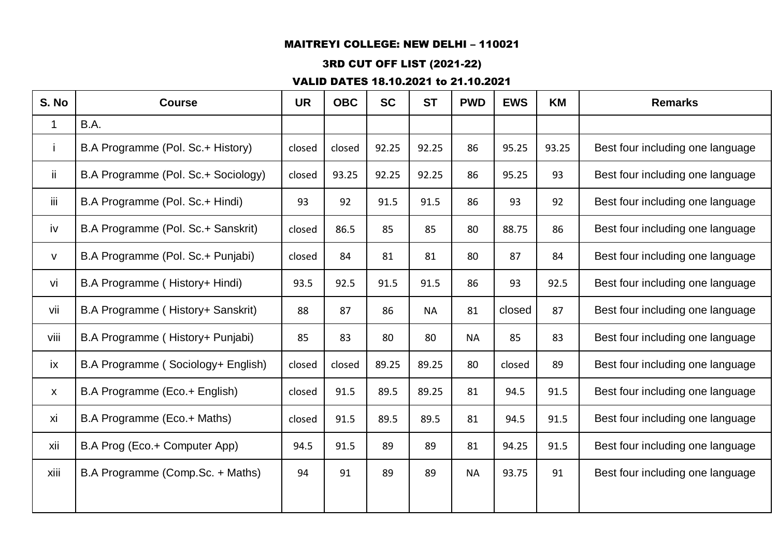## 3RD CUT OFF LIST (2021-22)

| B.A Programme (Pol. Sc.+ History) |                                                                                                                                                                                                                                                                                                                                                                                                                                         |        |       |           |           |        |       |                                  |
|-----------------------------------|-----------------------------------------------------------------------------------------------------------------------------------------------------------------------------------------------------------------------------------------------------------------------------------------------------------------------------------------------------------------------------------------------------------------------------------------|--------|-------|-----------|-----------|--------|-------|----------------------------------|
|                                   |                                                                                                                                                                                                                                                                                                                                                                                                                                         |        |       |           |           |        |       |                                  |
|                                   | closed                                                                                                                                                                                                                                                                                                                                                                                                                                  | closed | 92.25 | 92.25     | 86        | 95.25  | 93.25 | Best four including one language |
|                                   | closed                                                                                                                                                                                                                                                                                                                                                                                                                                  | 93.25  | 92.25 | 92.25     | 86        | 95.25  | 93    | Best four including one language |
|                                   | 93                                                                                                                                                                                                                                                                                                                                                                                                                                      | 92     | 91.5  | 91.5      | 86        | 93     | 92    | Best four including one language |
|                                   | closed                                                                                                                                                                                                                                                                                                                                                                                                                                  | 86.5   | 85    | 85        | 80        | 88.75  | 86    | Best four including one language |
|                                   | closed                                                                                                                                                                                                                                                                                                                                                                                                                                  | 84     | 81    | 81        | 80        | 87     | 84    | Best four including one language |
|                                   | 93.5                                                                                                                                                                                                                                                                                                                                                                                                                                    | 92.5   | 91.5  | 91.5      | 86        | 93     | 92.5  | Best four including one language |
|                                   | 88                                                                                                                                                                                                                                                                                                                                                                                                                                      | 87     | 86    | <b>NA</b> | 81        | closed | 87    | Best four including one language |
|                                   | 85                                                                                                                                                                                                                                                                                                                                                                                                                                      | 83     | 80    | 80        | <b>NA</b> | 85     | 83    | Best four including one language |
|                                   | closed                                                                                                                                                                                                                                                                                                                                                                                                                                  | closed | 89.25 | 89.25     | 80        | closed | 89    | Best four including one language |
|                                   | closed                                                                                                                                                                                                                                                                                                                                                                                                                                  | 91.5   | 89.5  | 89.25     | 81        | 94.5   | 91.5  | Best four including one language |
|                                   | closed                                                                                                                                                                                                                                                                                                                                                                                                                                  | 91.5   | 89.5  | 89.5      | 81        | 94.5   | 91.5  | Best four including one language |
|                                   | 94.5                                                                                                                                                                                                                                                                                                                                                                                                                                    | 91.5   | 89    | 89        | 81        | 94.25  | 91.5  | Best four including one language |
|                                   | 94                                                                                                                                                                                                                                                                                                                                                                                                                                      | 91     | 89    | 89        | <b>NA</b> | 93.75  | 91    | Best four including one language |
|                                   | B.A Programme (Pol. Sc.+ Sociology)<br>B.A Programme (Pol. Sc.+ Hindi)<br>B.A Programme (Pol. Sc.+ Sanskrit)<br>B.A Programme (Pol. Sc.+ Punjabi)<br>B.A Programme (History+ Hindi)<br>B.A Programme (History+ Sanskrit)<br>B.A Programme (History+ Punjabi)<br>B.A Programme (Sociology+ English)<br>B.A Programme (Eco.+ English)<br>B.A Programme (Eco.+ Maths)<br>B.A Prog (Eco.+ Computer App)<br>B.A Programme (Comp.Sc. + Maths) |        |       |           |           |        |       |                                  |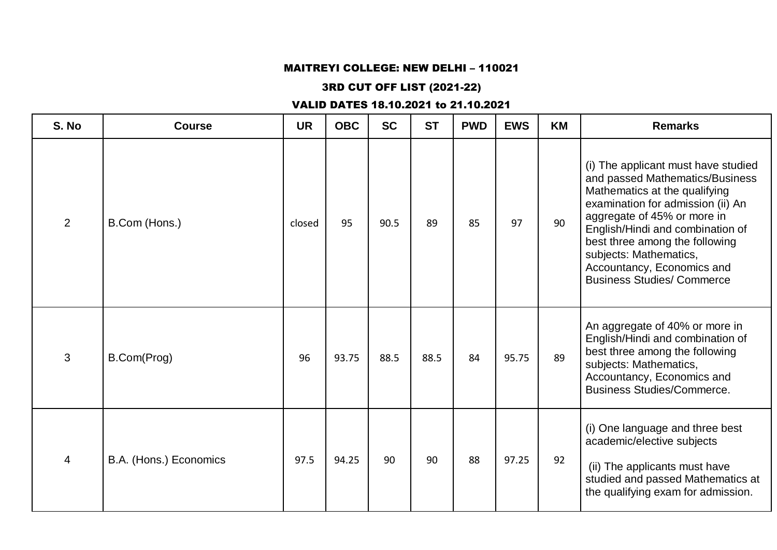## 3RD CUT OFF LIST (2021-22)

| S. No | <b>Course</b>          | <b>UR</b> | <b>OBC</b> | <b>SC</b> | <b>ST</b> | <b>PWD</b> | <b>EWS</b> | <b>KM</b> | <b>Remarks</b>                                                                                                                                                                                                                                                                                                                                 |
|-------|------------------------|-----------|------------|-----------|-----------|------------|------------|-----------|------------------------------------------------------------------------------------------------------------------------------------------------------------------------------------------------------------------------------------------------------------------------------------------------------------------------------------------------|
| 2     | B.Com (Hons.)          | closed    | 95         | 90.5      | 89        | 85         | 97         | 90        | (i) The applicant must have studied<br>and passed Mathematics/Business<br>Mathematics at the qualifying<br>examination for admission (ii) An<br>aggregate of 45% or more in<br>English/Hindi and combination of<br>best three among the following<br>subjects: Mathematics,<br>Accountancy, Economics and<br><b>Business Studies/ Commerce</b> |
| 3     | B.Com(Prog)            | 96        | 93.75      | 88.5      | 88.5      | 84         | 95.75      | 89        | An aggregate of 40% or more in<br>English/Hindi and combination of<br>best three among the following<br>subjects: Mathematics,<br>Accountancy, Economics and<br><b>Business Studies/Commerce.</b>                                                                                                                                              |
| 4     | B.A. (Hons.) Economics | 97.5      | 94.25      | 90        | 90        | 88         | 97.25      | 92        | (i) One language and three best<br>academic/elective subjects<br>(ii) The applicants must have<br>studied and passed Mathematics at<br>the qualifying exam for admission.                                                                                                                                                                      |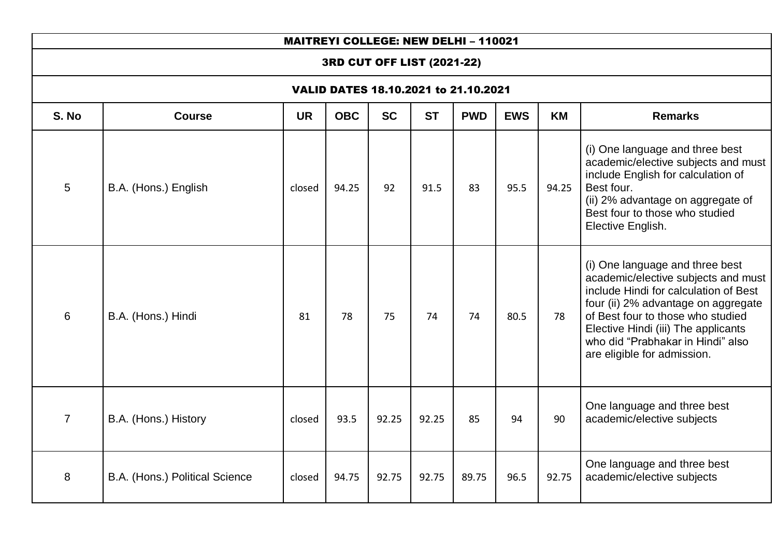## 3RD CUT OFF LIST (2021-22)

| S. No          | <b>Course</b>                  | <b>UR</b> | <b>OBC</b> | <b>SC</b> | <b>ST</b> | <b>PWD</b> | <b>EWS</b> | <b>KM</b> | <b>Remarks</b>                                                                                                                                                                                                                                                                                         |  |  |
|----------------|--------------------------------|-----------|------------|-----------|-----------|------------|------------|-----------|--------------------------------------------------------------------------------------------------------------------------------------------------------------------------------------------------------------------------------------------------------------------------------------------------------|--|--|
| 5              | B.A. (Hons.) English           | closed    | 94.25      | 92        | 91.5      | 83         | 95.5       | 94.25     | (i) One language and three best<br>academic/elective subjects and must<br>include English for calculation of<br>Best four.<br>(ii) 2% advantage on aggregate of<br>Best four to those who studied<br>Elective English.                                                                                 |  |  |
| 6              | B.A. (Hons.) Hindi             | 81        | 78         | 75        | 74        | 74         | 80.5       | 78        | (i) One language and three best<br>academic/elective subjects and must<br>include Hindi for calculation of Best<br>four (ii) 2% advantage on aggregate<br>of Best four to those who studied<br>Elective Hindi (iii) The applicants<br>who did "Prabhakar in Hindi" also<br>are eligible for admission. |  |  |
| $\overline{7}$ | B.A. (Hons.) History           | closed    | 93.5       | 92.25     | 92.25     | 85         | 94         | 90        | One language and three best<br>academic/elective subjects                                                                                                                                                                                                                                              |  |  |
| 8              | B.A. (Hons.) Political Science | closed    | 94.75      | 92.75     | 92.75     | 89.75      | 96.5       | 92.75     | One language and three best<br>academic/elective subjects                                                                                                                                                                                                                                              |  |  |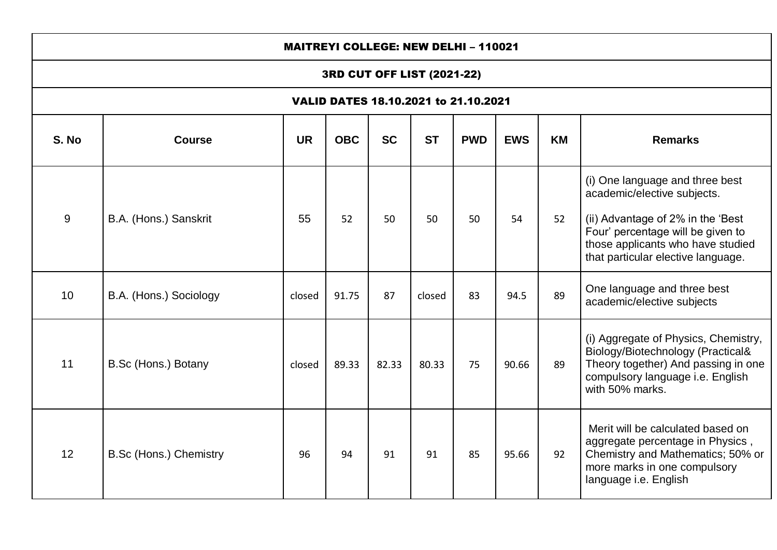|                                      | <b>MAITREYI COLLEGE: NEW DELHI - 110021</b>                                                                                   |        |       |       |        |    |       |    |                                                                                                                                                                                                                     |  |  |  |
|--------------------------------------|-------------------------------------------------------------------------------------------------------------------------------|--------|-------|-------|--------|----|-------|----|---------------------------------------------------------------------------------------------------------------------------------------------------------------------------------------------------------------------|--|--|--|
|                                      | 3RD CUT OFF LIST (2021-22)                                                                                                    |        |       |       |        |    |       |    |                                                                                                                                                                                                                     |  |  |  |
| VALID DATES 18.10.2021 to 21.10.2021 |                                                                                                                               |        |       |       |        |    |       |    |                                                                                                                                                                                                                     |  |  |  |
| S. No                                | <b>SC</b><br><b>ST</b><br><b>UR</b><br><b>OBC</b><br><b>PWD</b><br><b>EWS</b><br><b>Course</b><br><b>KM</b><br><b>Remarks</b> |        |       |       |        |    |       |    |                                                                                                                                                                                                                     |  |  |  |
| 9                                    | B.A. (Hons.) Sanskrit                                                                                                         | 55     | 52    | 50    | 50     | 50 | 54    | 52 | (i) One language and three best<br>academic/elective subjects.<br>(ii) Advantage of 2% in the 'Best<br>Four' percentage will be given to<br>those applicants who have studied<br>that particular elective language. |  |  |  |
| 10                                   | B.A. (Hons.) Sociology                                                                                                        | closed | 91.75 | 87    | closed | 83 | 94.5  | 89 | One language and three best<br>academic/elective subjects                                                                                                                                                           |  |  |  |
| 11                                   | B.Sc (Hons.) Botany                                                                                                           | closed | 89.33 | 82.33 | 80.33  | 75 | 90.66 | 89 | (i) Aggregate of Physics, Chemistry,<br>Biology/Biotechnology (Practical&<br>Theory together) And passing in one<br>compulsory language i.e. English<br>with 50% marks.                                             |  |  |  |
| 12                                   | B.Sc (Hons.) Chemistry                                                                                                        | 96     | 94    | 91    | 91     | 85 | 95.66 | 92 | Merit will be calculated based on<br>aggregate percentage in Physics,<br>Chemistry and Mathematics; 50% or<br>more marks in one compulsory<br>language i.e. English                                                 |  |  |  |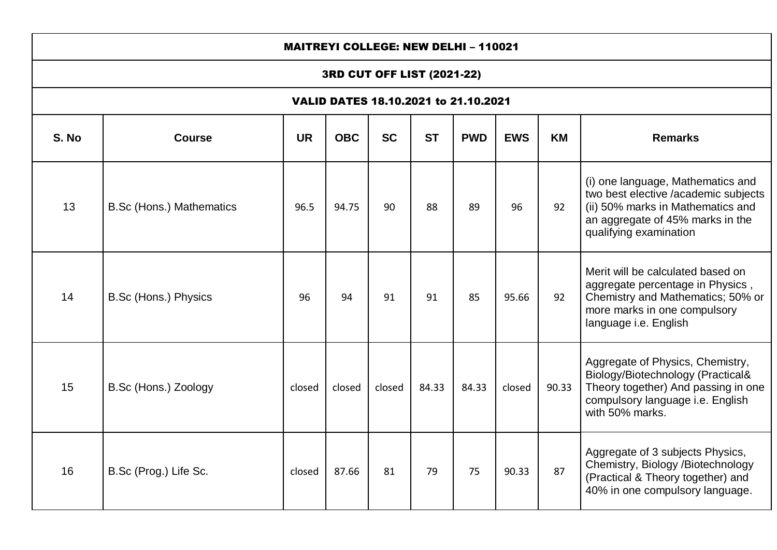|       | <b>MAITREYI COLLEGE: NEW DELHI - 110021</b> |           |            |           |           |            |            |       |                                                                                                                                                                              |  |  |  |  |
|-------|---------------------------------------------|-----------|------------|-----------|-----------|------------|------------|-------|------------------------------------------------------------------------------------------------------------------------------------------------------------------------------|--|--|--|--|
|       | 3RD CUT OFF LIST (2021-22)                  |           |            |           |           |            |            |       |                                                                                                                                                                              |  |  |  |  |
|       | VALID DATES 18.10.2021 to 21.10.2021        |           |            |           |           |            |            |       |                                                                                                                                                                              |  |  |  |  |
| S. No | <b>Course</b>                               | <b>UR</b> | <b>OBC</b> | <b>SC</b> | <b>ST</b> | <b>PWD</b> | <b>EWS</b> | KM    | <b>Remarks</b>                                                                                                                                                               |  |  |  |  |
| 13    | <b>B.Sc (Hons.) Mathematics</b>             | 96.5      | 94.75      | 90        | 88        | 89         | 96         | 92    | (i) one language, Mathematics and<br>two best elective /academic subjects<br>(ii) 50% marks in Mathematics and<br>an aggregate of 45% marks in the<br>qualifying examination |  |  |  |  |
| 14    | B.Sc (Hons.) Physics                        | 96        | 94         | 91        | 91        | 85         | 95.66      | 92    | Merit will be calculated based on<br>aggregate percentage in Physics,<br>Chemistry and Mathematics; 50% or<br>more marks in one compulsory<br>language i.e. English          |  |  |  |  |
| 15    | B.Sc (Hons.) Zoology                        | closed    | closed     | closed    | 84.33     | 84.33      | closed     | 90.33 | Aggregate of Physics, Chemistry,<br>Biology/Biotechnology (Practical&<br>Theory together) And passing in one<br>compulsory language i.e. English<br>with 50% marks.          |  |  |  |  |
| 16    | B.Sc (Prog.) Life Sc.                       | closed    | 87.66      | 81        | 79        | 75         | 90.33      | 87    | Aggregate of 3 subjects Physics,<br>Chemistry, Biology /Biotechnology<br>(Dractical & Thoory together) and                                                                   |  |  |  |  |

(Practical & Theory together) and 40% in one compulsory language.